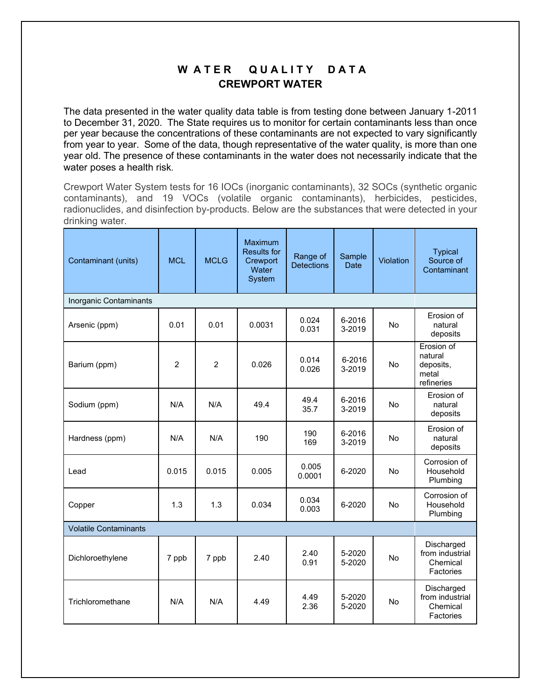## W ATER QUALITY DATA **CREWPORT WATER**

The data presented in the water quality data table is from testing done between January 1-2011 to December 31, 2020. The State requires us to monitor for certain contaminants less than once per year because the concentrations of these contaminants are not expected to vary significantly from year to year. Some of the data, though representative of the water quality, is more than one year old. The presence of these contaminants in the water does not necessarily indicate that the water poses a health risk.

Crewport Water System tests for 16 IOCs (inorganic contaminants), 32 SOCs (synthetic organic contaminants), and 19 VOCs (volatile organic contaminants), herbicides, pesticides, radionuclides, and disinfection by-products. Below are the substances that were detected in your drinking water.

| Contaminant (units)          | <b>MCL</b>     | <b>MCLG</b>    | Maximum<br><b>Results for</b><br>Crewport<br>Water<br>System | Range of<br><b>Detections</b> | Sample<br>Date   | Violation | <b>Typical</b><br>Source of<br>Contaminant                |  |  |  |  |  |
|------------------------------|----------------|----------------|--------------------------------------------------------------|-------------------------------|------------------|-----------|-----------------------------------------------------------|--|--|--|--|--|
| Inorganic Contaminants       |                |                |                                                              |                               |                  |           |                                                           |  |  |  |  |  |
| Arsenic (ppm)                | 0.01           | 0.01           | 0.0031                                                       | 0.024<br>0.031                | 6-2016<br>3-2019 | <b>No</b> | Erosion of<br>natural<br>deposits                         |  |  |  |  |  |
| Barium (ppm)                 | $\overline{2}$ | $\overline{2}$ | 0.026                                                        | 0.014<br>0.026                | 6-2016<br>3-2019 | <b>No</b> | Erosion of<br>natural<br>deposits,<br>metal<br>refineries |  |  |  |  |  |
| Sodium (ppm)                 | N/A            | N/A            | 49.4                                                         | 49.4<br>35.7                  | 6-2016<br>3-2019 | No        | Erosion of<br>natural<br>deposits                         |  |  |  |  |  |
| Hardness (ppm)               | N/A            | N/A            | 190                                                          | 190<br>169                    | 6-2016<br>3-2019 | <b>No</b> | Erosion of<br>natural<br>deposits                         |  |  |  |  |  |
| Lead                         | 0.015          | 0.015          | 0.005                                                        | 0.005<br>0.0001               | 6-2020           | No        | Corrosion of<br>Household<br>Plumbing                     |  |  |  |  |  |
| Copper                       | 1.3            | 1.3            | 0.034                                                        | 0.034<br>0.003                | 6-2020           | <b>No</b> | Corrosion of<br>Household<br>Plumbing                     |  |  |  |  |  |
| <b>Volatile Contaminants</b> |                |                |                                                              |                               |                  |           |                                                           |  |  |  |  |  |
| Dichloroethylene             | 7 ppb          | 7 ppb          | 2.40                                                         | 2.40<br>0.91                  | 5-2020<br>5-2020 | No        | Discharged<br>from industrial<br>Chemical<br>Factories    |  |  |  |  |  |
| Trichloromethane             | N/A            | N/A            | 4.49                                                         | 4.49<br>2.36                  | 5-2020<br>5-2020 | <b>No</b> | Discharged<br>from industrial<br>Chemical<br>Factories    |  |  |  |  |  |